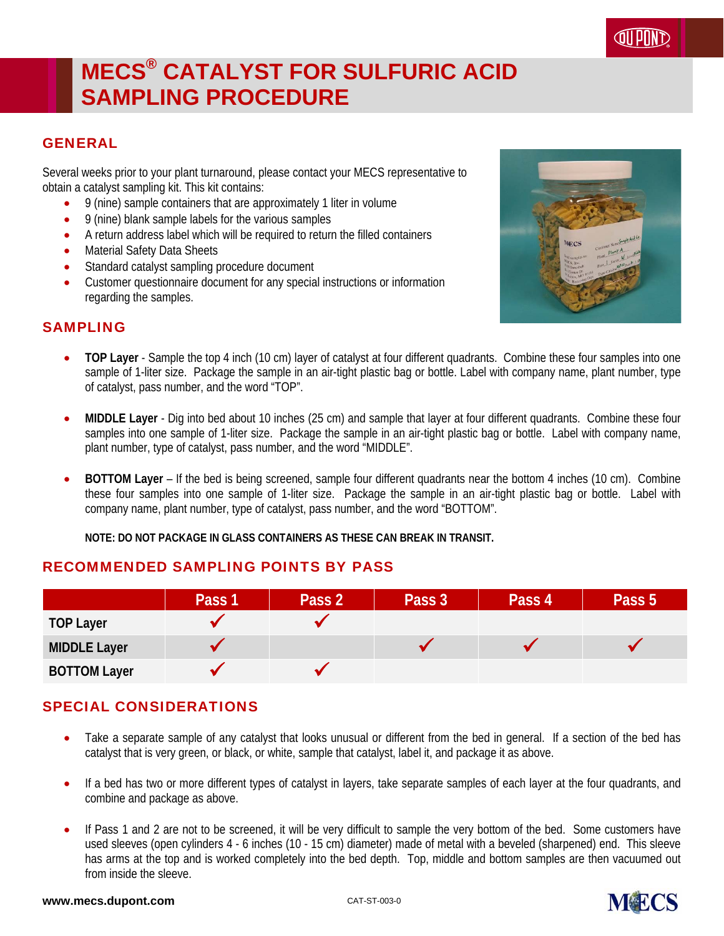# **MECS® CATALYST FOR SULFURIC ACID SAMPLING PROCEDURE**

#### GENERAL

Several weeks prior to your plant turnaround, please contact your MECS representative to obtain a catalyst sampling kit. This kit contains:

- 9 (nine) sample containers that are approximately 1 liter in volume
- 9 (nine) blank sample labels for the various samples
- A return address label which will be required to return the filled containers
- Material Safety Data Sheets
- Standard catalyst sampling procedure document
- Customer questionnaire document for any special instructions or information regarding the samples.



**QU PUND** 

### SAMPLING

- **TOP Layer** Sample the top 4 inch (10 cm) layer of catalyst at four different quadrants. Combine these four samples into one sample of 1-liter size. Package the sample in an air-tight plastic bag or bottle. Label with company name, plant number, type of catalyst, pass number, and the word "TOP".
- **MIDDLE Layer** Dig into bed about 10 inches (25 cm) and sample that layer at four different quadrants. Combine these four samples into one sample of 1-liter size. Package the sample in an air-tight plastic bag or bottle. Label with company name, plant number, type of catalyst, pass number, and the word "MIDDLE".
- **BOTTOM Layer** If the bed is being screened, sample four different quadrants near the bottom 4 inches (10 cm). Combine these four samples into one sample of 1-liter size. Package the sample in an air-tight plastic bag or bottle. Label with company name, plant number, type of catalyst, pass number, and the word "BOTTOM".

**NOTE: DO NOT PACKAGE IN GLASS CONTAINERS AS THESE CAN BREAK IN TRANSIT.** 

#### RECOMMENDED SAMPLING POINTS BY PASS

|                     | Pass 1 | Pass <sub>2</sub> | Pass 3 | Pass 4 | Pass 5 |
|---------------------|--------|-------------------|--------|--------|--------|
| <b>TOP Layer</b>    |        |                   |        |        |        |
| <b>MIDDLE Layer</b> |        |                   |        |        |        |
| <b>BOTTOM Layer</b> |        |                   |        |        |        |

### SPECIAL CONSIDERATIONS

- Take a separate sample of any catalyst that looks unusual or different from the bed in general. If a section of the bed has catalyst that is very green, or black, or white, sample that catalyst, label it, and package it as above.
- If a bed has two or more different types of catalyst in layers, take separate samples of each layer at the four quadrants, and combine and package as above.
- If Pass 1 and 2 are not to be screened, it will be very difficult to sample the very bottom of the bed. Some customers have used sleeves (open cylinders 4 - 6 inches (10 - 15 cm) diameter) made of metal with a beveled (sharpened) end. This sleeve has arms at the top and is worked completely into the bed depth. Top, middle and bottom samples are then vacuumed out from inside the sleeve.